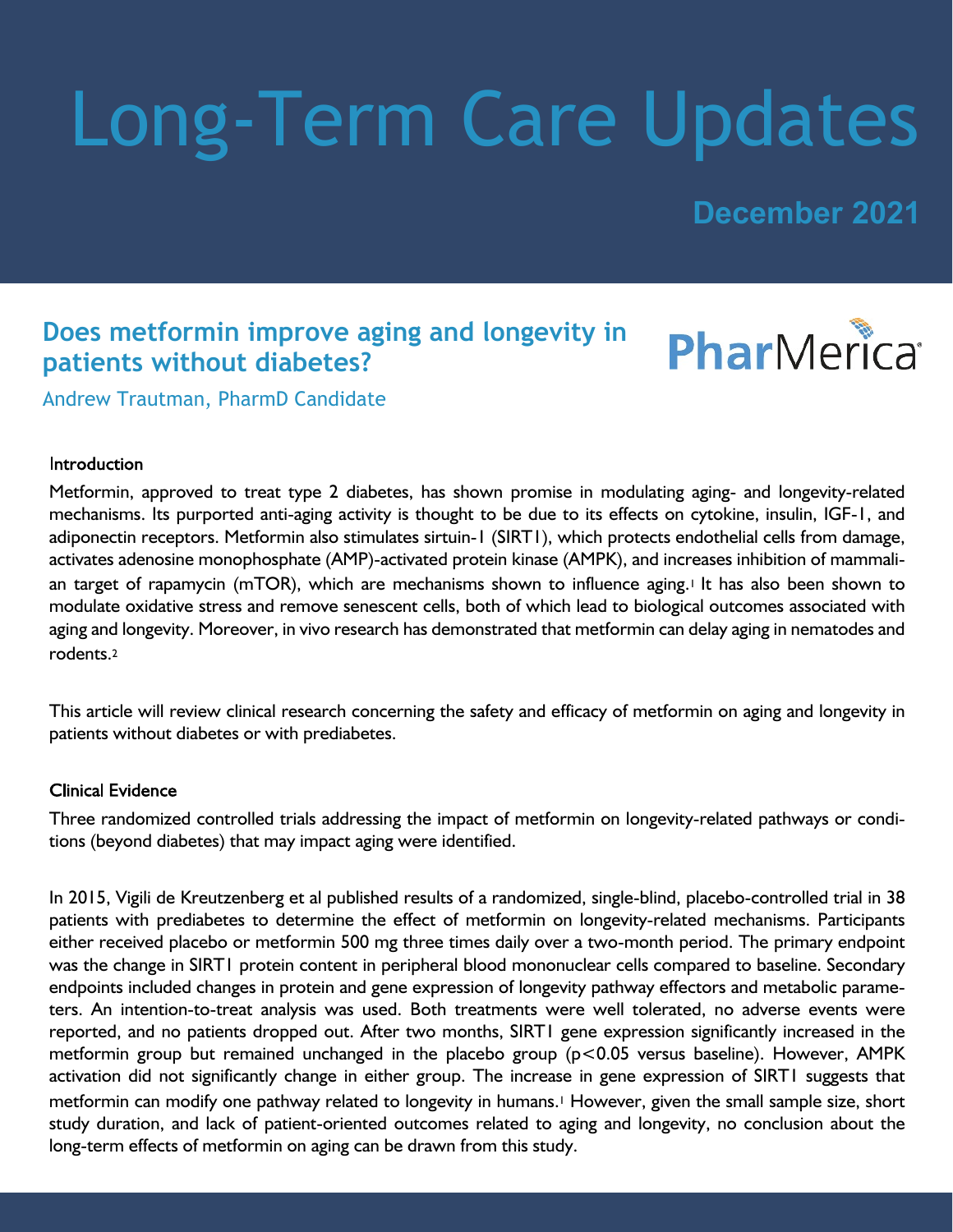# Long-Term Care Updates

**December 2021**

### **Does metformin improve aging and longevity in patients without diabetes?**



Andrew Trautman, PharmD Candidate

#### Introduction

Metformin, approved to treat type 2 diabetes, has shown promise in modulating aging- and longevity-related mechanisms. Its purported anti-aging activity is thought to be due to its effects on cytokine, insulin, IGF-1, and adiponectin receptors. Metformin also stimulates sirtuin-1 (SIRT1), which protects endothelial cells from damage, activates adenosine monophosphate (AMP)-activated protein kinase (AMPK), and increases inhibition of mammalian target of rapamycin (mTOR), which are mechanisms shown to influence aging.<sup>1</sup> It has also been shown to modulate oxidative stress and remove senescent cells, both of which lead to biological outcomes associated with aging and longevity. Moreover, in vivo research has demonstrated that metformin can delay aging in nematodes and rodents.<sup>2</sup>

This article will review clinical research concerning the safety and efficacy of metformin on aging and longevity in patients without diabetes or with prediabetes.

#### **Clinical Evidence**

Three randomized controlled trials addressing the impact of metformin on longevity-related pathways or conditions (beyond diabetes) that may impact aging were identified.

In 2015, Vigili de Kreutzenberg et al published results of a randomized, single-blind, placebo-controlled trial in 38 patients with prediabetes to determine the effect of metformin on longevity-related mechanisms. Participants either received placebo or metformin 500 mg three times daily over a two-month period. The primary endpoint was the change in SIRT1 protein content in peripheral blood mononuclear cells compared to baseline. Secondary endpoints included changes in protein and gene expression of longevity pathway effectors and metabolic parameters. An intention-to-treat analysis was used. Both treatments were well tolerated, no adverse events were reported, and no patients dropped out. After two months, SIRT1 gene expression significantly increased in the metformin group but remained unchanged in the placebo group (p<0.05 versus baseline). However, AMPK activation did not significantly change in either group. The increase in gene expression of SIRT1 suggests that metformin can modify one pathway related to longevity in humans.1 However, given the small sample size, short study duration, and lack of patient-oriented outcomes related to aging and longevity, no conclusion about the long-term effects of metformin on aging can be drawn from this study.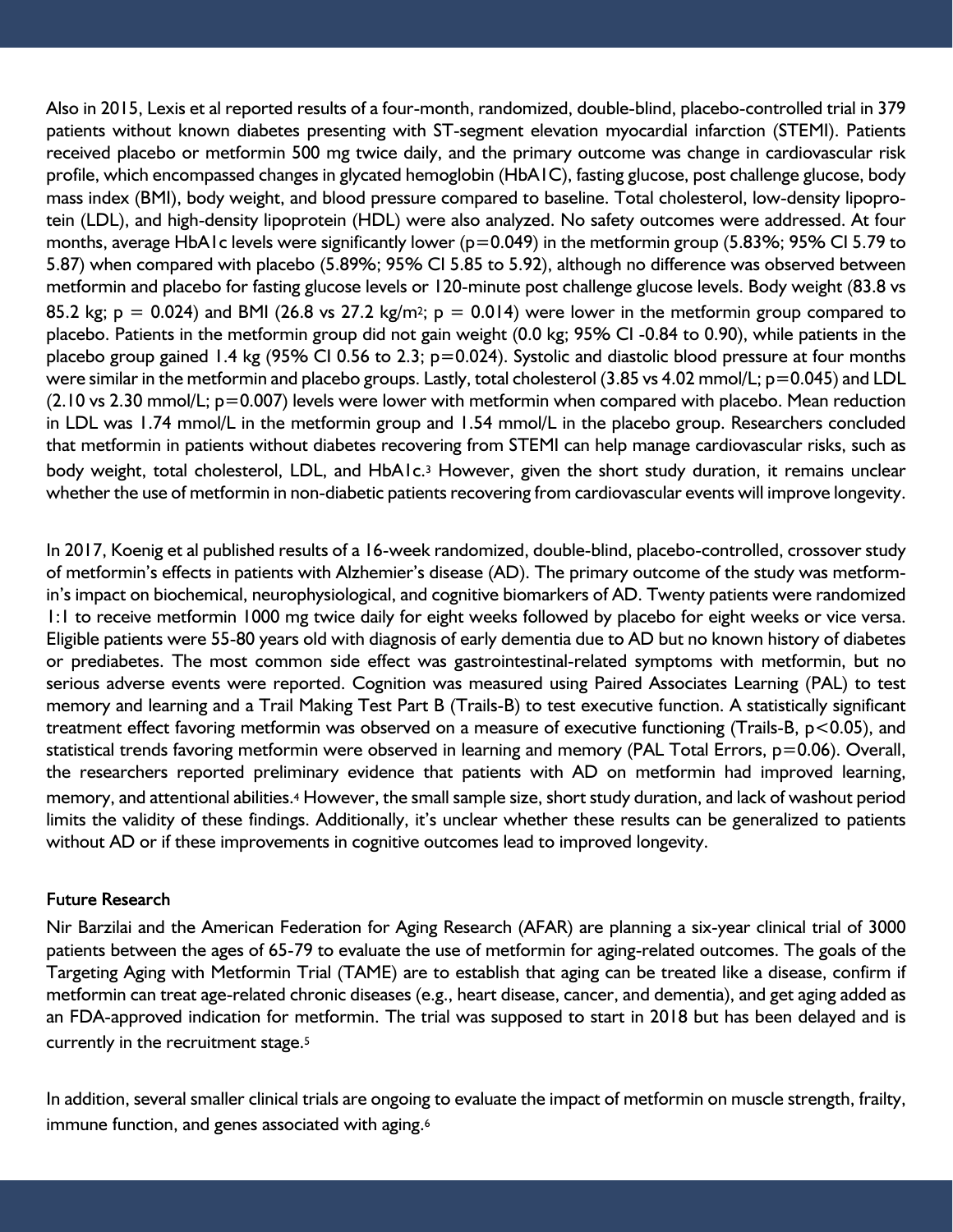Also in 2015, Lexis et al reported results of a four-month, randomized, double-blind, placebo-controlled trial in 379 patients without known diabetes presenting with ST-segment elevation myocardial infarction (STEMI). Patients received placebo or metformin 500 mg twice daily, and the primary outcome was change in cardiovascular risk profile, which encompassed changes in glycated hemoglobin (HbA1C), fasting glucose, post challenge glucose, body mass index (BMI), body weight, and blood pressure compared to baseline. Total cholesterol, low-density lipoprotein (LDL), and high-density lipoprotein (HDL) were also analyzed. No safety outcomes were addressed. At four months, average HbA1c levels were significantly lower ( $p=0.049$ ) in the metformin group (5.83%; 95% CI 5.79 to 5.87) when compared with placebo (5.89%; 95% CI 5.85 to 5.92), although no difference was observed between metformin and placebo for fasting glucose levels or 120-minute post challenge glucose levels. Body weight (83.8 vs 85.2 kg;  $p = 0.024$ ) and BMI (26.8 vs 27.2 kg/m<sup>2</sup>;  $p = 0.014$ ) were lower in the metformin group compared to placebo. Patients in the metformin group did not gain weight (0.0 kg; 95% CI -0.84 to 0.90), while patients in the placebo group gained 1.4 kg (95% CI 0.56 to 2.3; p=0.024). Systolic and diastolic blood pressure at four months were similar in the metformin and placebo groups. Lastly, total cholesterol (3.85 vs 4.02 mmol/L; p=0.045) and LDL (2.10 vs 2.30 mmol/L; p=0.007) levels were lower with metformin when compared with placebo. Mean reduction in LDL was 1.74 mmol/L in the metformin group and 1.54 mmol/L in the placebo group. Researchers concluded that metformin in patients without diabetes recovering from STEMI can help manage cardiovascular risks, such as body weight, total cholesterol, LDL, and HbA1c.3 However, given the short study duration, it remains unclear whether the use of metformin in non-diabetic patients recovering from cardiovascular events will improve longevity.

In 2017, Koenig et al published results of a 16-week randomized, double-blind, placebo-controlled, crossover study of metformin's effects in patients with Alzhemier's disease (AD). The primary outcome of the study was metformin's impact on biochemical, neurophysiological, and cognitive biomarkers of AD. Twenty patients were randomized 1:1 to receive metformin 1000 mg twice daily for eight weeks followed by placebo for eight weeks or vice versa. Eligible patients were 55-80 years old with diagnosis of early dementia due to AD but no known history of diabetes or prediabetes. The most common side effect was gastrointestinal-related symptoms with metformin, but no serious adverse events were reported. Cognition was measured using Paired Associates Learning (PAL) to test memory and learning and a Trail Making Test Part B (Trails-B) to test executive function. A statistically significant treatment effect favoring metformin was observed on a measure of executive functioning (Trails-B, p<0.05), and statistical trends favoring metformin were observed in learning and memory (PAL Total Errors, p=0.06). Overall, the researchers reported preliminary evidence that patients with AD on metformin had improved learning, memory, and attentional abilities.4 However, the small sample size, short study duration, and lack of washout period limits the validity of these findings. Additionally, it's unclear whether these results can be generalized to patients without AD or if these improvements in cognitive outcomes lead to improved longevity.

#### **Future Research**

Nir Barzilai and the American Federation for Aging Research (AFAR) are planning a six-year clinical trial of 3000 patients between the ages of 65-79 to evaluate the use of metformin for aging-related outcomes. The goals of the Targeting Aging with Metformin Trial (TAME) are to establish that aging can be treated like a disease, confirm if metformin can treat age-related chronic diseases (e.g., heart disease, cancer, and dementia), and get aging added as an FDA-approved indication for metformin. The trial was supposed to start in 2018 but has been delayed and is currently in the recruitment stage.<sup>5</sup>

In addition, several smaller clinical trials are ongoing to evaluate the impact of metformin on muscle strength, frailty, immune function, and genes associated with aging.<sup>6</sup>